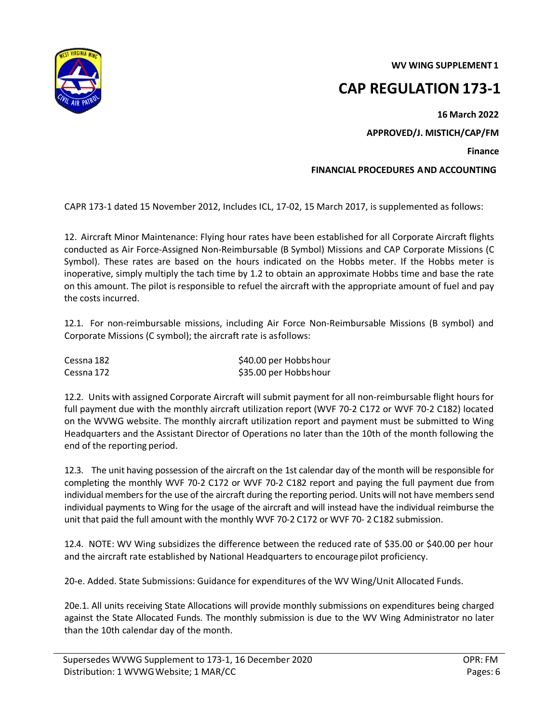**WV WING SUPPLEMENT 1** 



**CAP REGULATION 173-1** 

**16 March 2022 APPROVED/J. MISTICH/CAP/FM**

**Finance** 

**FINANCIAL PROCEDURES AND ACCOUNTING**

CAPR 173-1 dated 15 November 2012, Includes ICL, 17-02, 15 March 2017, is supplemented as follows:

12. Aircraft Minor Maintenance: Flying hour rates have been established for all Corporate Aircraft flights conducted as Air Force-Assigned Non-Reimbursable (B Symbol) Missions and CAP Corporate Missions (C Symbol). These rates are based on the hours indicated on the Hobbs meter. If the Hobbs meter is inoperative, simply multiply the tach time by 1.2 to obtain an approximate Hobbs time and base the rate on this amount. The pilot is responsible to refuel the aircraft with the appropriate amount of fuel and pay the costs incurred.

12.1. For non-reimbursable missions, including Air Force Non-Reimbursable Missions (B symbol) and Corporate Missions (C symbol); the aircraft rate is asfollows:

| Cessna 182 | \$40.00 per Hobbshour |
|------------|-----------------------|
| Cessna 172 | \$35.00 per Hobbshour |

12.2. Units with assigned Corporate Aircraft will submit payment for all non-reimbursable flight hours for full payment due with the monthly aircraft utilization report (WVF 70-2 C172 or WVF 70-2 C182) located on the WVWG website. The monthly aircraft utilization report and payment must be submitted to Wing Headquarters and the Assistant Director of Operations no later than the 10th of the month following the end of the reporting period.

12.3. The unit having possession of the aircraft on the 1st calendar day of the month will be responsible for completing the monthly WVF 70-2 C172 or WVF 70-2 C182 report and paying the full payment due from individual members for the use of the aircraft during the reporting period. Units will not have members send individual payments to Wing for the usage of the aircraft and will instead have the individual reimburse the unit that paid the full amount with the monthly WVF 70-2 C172 or WVF 70- 2 C182 submission.

12.4. NOTE: WV Wing subsidizes the difference between the reduced rate of \$35.00 or \$40.00 per hour and the aircraft rate established by National Headquarters to encourage pilot proficiency.

20-e. Added. State Submissions: Guidance for expenditures of the WV Wing/Unit Allocated Funds.

20e.1. All units receiving State Allocations will provide monthly submissions on expenditures being charged against the State Allocated Funds. The monthly submission is due to the WV Wing Administrator no later than the 10th calendar day of the month.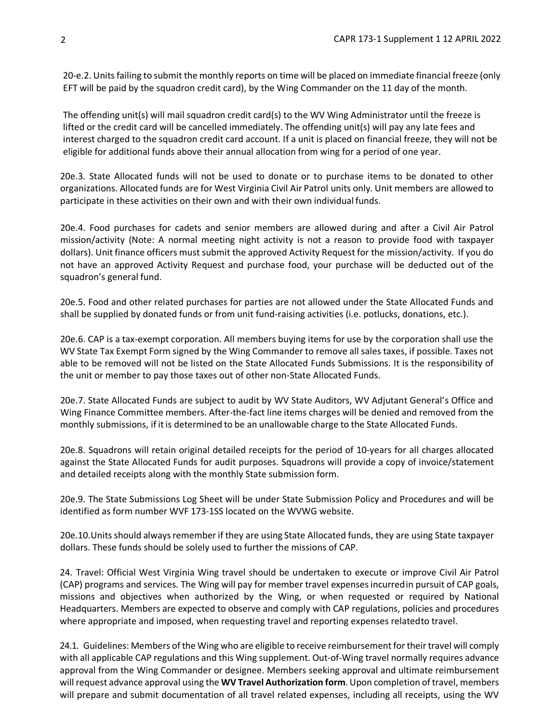20-e.2. Units failing to submit the monthly reports on time will be placed on immediate financial freeze (only EFT will be paid by the squadron credit card), by the Wing Commander on the 11 day of the month.

The offending unit(s) will mail squadron credit card(s) to the WV Wing Administrator until the freeze is lifted or the credit card will be cancelled immediately. The offending unit(s) will pay any late fees and interest charged to the squadron credit card account. If a unit is placed on financial freeze, they will not be eligible for additional funds above their annual allocation from wing for a period of one year.

20e.3. State Allocated funds will not be used to donate or to purchase items to be donated to other organizations. Allocated funds are for West Virginia Civil Air Patrol units only. Unit members are allowed to participate in these activities on their own and with their own individual funds.

20e.4. Food purchases for cadets and senior members are allowed during and after a Civil Air Patrol mission/activity (Note: A normal meeting night activity is not a reason to provide food with taxpayer dollars). Unit finance officers must submit the approved Activity Request for the mission/activity. If you do not have an approved Activity Request and purchase food, your purchase will be deducted out of the squadron's general fund.

20e.5. Food and other related purchases for parties are not allowed under the State Allocated Funds and shall be supplied by donated funds or from unit fund-raising activities (i.e. potlucks, donations, etc.).

20e.6. CAP is a tax-exempt corporation. All members buying items for use by the corporation shall use the WV State Tax Exempt Form signed by the Wing Commander to remove all sales taxes, if possible. Taxes not able to be removed will not be listed on the State Allocated Funds Submissions. It is the responsibility of the unit or member to pay those taxes out of other non-State Allocated Funds.

20e.7. State Allocated Funds are subject to audit by WV State Auditors, WV Adjutant General's Office and Wing Finance Committee members. After-the-fact line items charges will be denied and removed from the monthly submissions, if itis determined to be an unallowable charge to the State Allocated Funds.

20e.8. Squadrons will retain original detailed receipts for the period of 10-years for all charges allocated against the State Allocated Funds for audit purposes. Squadrons will provide a copy of invoice/statement and detailed receipts along with the monthly State submission form.

20e.9. The State Submissions Log Sheet will be under State Submission Policy and Procedures and will be identified as form number WVF 173-1SS located on the WVWG website.

20e.10. Units should always remember if they are using State Allocated funds, they are using State taxpayer dollars. These funds should be solely used to further the missions of CAP.

24. Travel: Official West Virginia Wing travel should be undertaken to execute or improve Civil Air Patrol (CAP) programs and services. The Wing will pay for member travel expensesincurredin pursuit of CAP goals, missions and objectives when authorized by the Wing, or when requested or required by National Headquarters. Members are expected to observe and comply with CAP regulations, policies and procedures where appropriate and imposed, when requesting travel and reporting expenses relatedto travel.

24.1. Guidelines: Members of the Wing who are eligible to receive reimbursement for their travel will comply with all applicable CAP regulations and this Wing supplement. Out-of-Wing travel normally requires advance approval from the Wing Commander or designee. Members seeking approval and ultimate reimbursement will request advance approval using the **WV Travel Authorization form**. Upon completion of travel, members will prepare and submit documentation of all travel related expenses, including all receipts, using the WV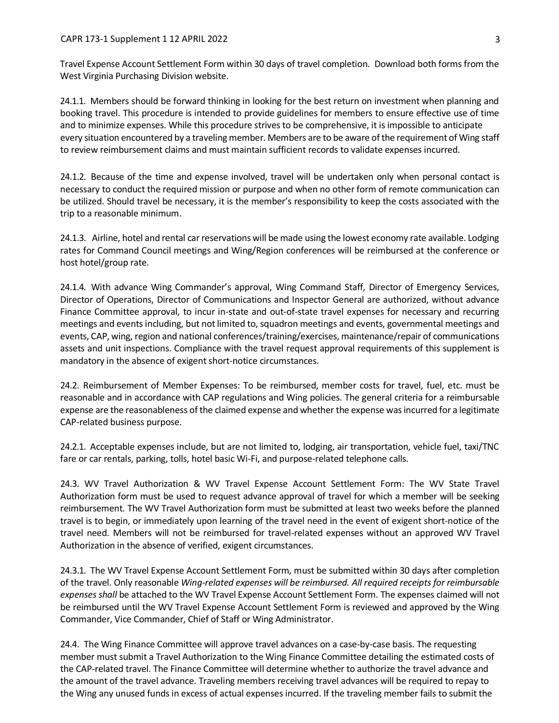Travel Expense Account Settlement Form within 30 days of travel completion. Download both forms from the West Virginia Purchasing Division website.

24.1.1. Members should be forward thinking in looking for the best return on investment when planning and booking travel. This procedure is intended to provide guidelines for members to ensure effective use of time and to minimize expenses. While this procedure strives to be comprehensive, it is impossible to anticipate every situation encountered by a traveling member. Members are to be aware of the requirement of Wing staff to review reimbursement claims and must maintain sufficient records to validate expenses incurred.

24.1.2. Because of the time and expense involved, travel will be undertaken only when personal contact is necessary to conduct the required mission or purpose and when no other form of remote communication can be utilized. Should travel be necessary, it is the member's responsibility to keep the costs associated with the trip to a reasonable minimum.

24.1.3. Airline, hotel and rental car reservations will be made using the lowest economy rate available. Lodging rates for Command Council meetings and Wing/Region conferences will be reimbursed at the conference or host hotel/group rate.

24.1.4. With advance Wing Commander's approval, Wing Command Staff, Director of Emergency Services, Director of Operations, Director of Communications and Inspector General are authorized, without advance Finance Committee approval, to incur in-state and out-of-state travel expenses for necessary and recurring meetings and events including, but not limited to, squadron meetings and events, governmental meetings and events, CAP, wing, region and national conferences/training/exercises, maintenance/repair of communications assets and unit inspections. Compliance with the travel request approval requirements of this supplement is mandatory in the absence of exigent short-notice circumstances.

24.2. Reimbursement of Member Expenses: To be reimbursed, member costs for travel, fuel, etc. must be reasonable and in accordance with CAP regulations and Wing policies. The general criteria for a reimbursable expense are the reasonableness of the claimed expense and whether the expense was incurred for a legitimate CAP-related business purpose.

24.2.1. Acceptable expenses include, but are not limited to, lodging, air transportation, vehicle fuel, taxi/TNC fare or car rentals, parking, tolls, hotel basic Wi-Fi, and purpose-related telephone calls.

24.3. WV Travel Authorization & WV Travel Expense Account Settlement Form: The WV State Travel Authorization form must be used to request advance approval of travel for which a member will be seeking reimbursement. The WV Travel Authorization form must be submitted at least two weeks before the planned travel is to begin, or immediately upon learning of the travel need in the event of exigent short-notice of the travel need. Members will not be reimbursed for travel-related expenses without an approved WV Travel Authorization in the absence of verified, exigent circumstances.

24.3.1. The WV Travel Expense Account Settlement Form, must be submitted within 30 days after completion of the travel. Only reasonable *Wing-related expenses will be reimbursed. All required receipts for reimbursable expenses shall* be attached to the WV Travel Expense Account Settlement Form. The expenses claimed will not be reimbursed until the WV Travel Expense Account Settlement Form is reviewed and approved by the Wing Commander, Vice Commander, Chief of Staff or Wing Administrator.

24.4. The Wing Finance Committee will approve travel advances on a case-by-case basis. The requesting member must submit a Travel Authorization to the Wing Finance Committee detailing the estimated costs of the CAP-related travel. The Finance Committee will determine whether to authorize the travel advance and the amount of the travel advance. Traveling members receiving travel advances will be required to repay to the Wing any unused funds in excess of actual expenses incurred. If the traveling member fails to submit the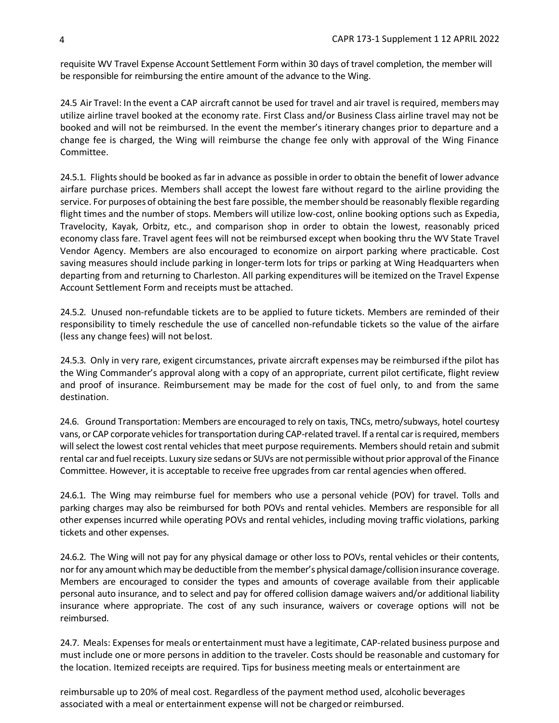requisite WV Travel Expense Account Settlement Form within 30 days of travel completion, the member will be responsible for reimbursing the entire amount of the advance to the Wing.

24.5 Air Travel: In the event a CAP aircraft cannot be used for travel and air travel is required, membersmay utilize airline travel booked at the economy rate. First Class and/or Business Class airline travel may not be booked and will not be reimbursed. In the event the member's itinerary changes prior to departure and a change fee is charged, the Wing will reimburse the change fee only with approval of the Wing Finance Committee.

24.5.1. Flights should be booked as far in advance as possible in order to obtain the benefit of lower advance airfare purchase prices. Members shall accept the lowest fare without regard to the airline providing the service. For purposes of obtaining the best fare possible, the membershould be reasonably flexible regarding flight times and the number of stops. Members will utilize low-cost, online booking options such as Expedia, Travelocity, Kayak, Orbitz, etc., and comparison shop in order to obtain the lowest, reasonably priced economy class fare. Travel agent fees will not be reimbursed except when booking thru the WV State Travel Vendor Agency. Members are also encouraged to economize on airport parking where practicable. Cost saving measures should include parking in longer-term lots for trips or parking at Wing Headquarters when departing from and returning to Charleston. All parking expenditures will be itemized on the Travel Expense Account Settlement Form and receipts must be attached.

24.5.2. Unused non-refundable tickets are to be applied to future tickets. Members are reminded of their responsibility to timely reschedule the use of cancelled non-refundable tickets so the value of the airfare (less any change fees) will not belost.

24.5.3. Only in very rare, exigent circumstances, private aircraft expenses may be reimbursed ifthe pilot has the Wing Commander's approval along with a copy of an appropriate, current pilot certificate, flight review and proof of insurance. Reimbursement may be made for the cost of fuel only, to and from the same destination.

24.6. Ground Transportation: Members are encouraged to rely on taxis, TNCs, metro/subways, hotel courtesy vans, or CAP corporate vehicles for transportation during CAP-related travel. If a rental car is required, members will select the lowest cost rental vehicles that meet purpose requirements. Members should retain and submit rental car and fuel receipts. Luxury size sedans or SUVs are not permissible without prior approval of the Finance Committee. However, it is acceptable to receive free upgrades from car rental agencies when offered.

24.6.1. The Wing may reimburse fuel for members who use a personal vehicle (POV) for travel. Tolls and parking charges may also be reimbursed for both POVs and rental vehicles. Members are responsible for all other expenses incurred while operating POVs and rental vehicles, including moving traffic violations, parking tickets and other expenses.

24.6.2. The Wing will not pay for any physical damage or other loss to POVs, rental vehicles or their contents, nor for any amount which may be deductible from the member's physical damage/collision insurance coverage. Members are encouraged to consider the types and amounts of coverage available from their applicable personal auto insurance, and to select and pay for offered collision damage waivers and/or additional liability insurance where appropriate. The cost of any such insurance, waivers or coverage options will not be reimbursed.

24.7. Meals: Expenses for meals or entertainment must have a legitimate, CAP-related business purpose and must include one or more persons in addition to the traveler. Costs should be reasonable and customary for the location. Itemized receipts are required. Tips for business meeting meals or entertainment are

reimbursable up to 20% of meal cost. Regardless of the payment method used, alcoholic beverages associated with a meal or entertainment expense will not be chargedor reimbursed.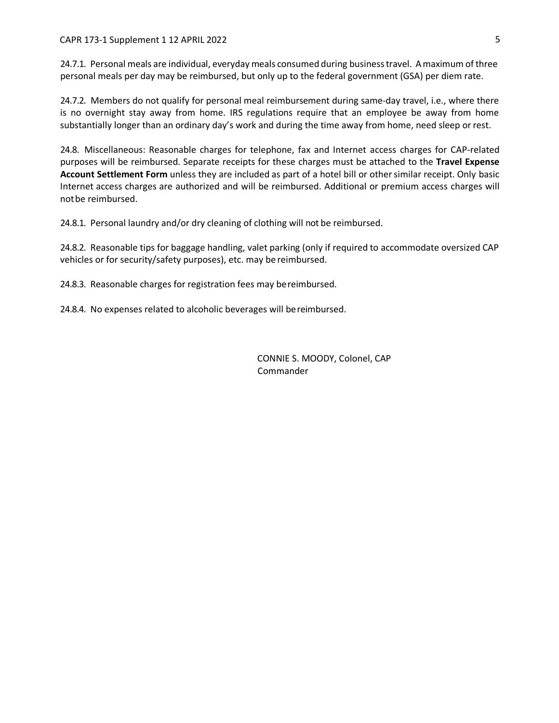## CAPR 173-1 Supplement 1 12 APRIL 2022 5

24.7.1. Personal meals are individual, everyday meals consumed during businesstravel. A maximum of three personal meals per day may be reimbursed, but only up to the federal government (GSA) per diem rate.

24.7.2. Members do not qualify for personal meal reimbursement during same-day travel, i.e., where there is no overnight stay away from home. IRS regulations require that an employee be away from home substantially longer than an ordinary day's work and during the time away from home, need sleep or rest.

24.8. Miscellaneous: Reasonable charges for telephone, fax and Internet access charges for CAP-related purposes will be reimbursed. Separate receipts for these charges must be attached to the **Travel Expense Account Settlement Form** unless they are included as part of a hotel bill or othersimilar receipt. Only basic Internet access charges are authorized and will be reimbursed. Additional or premium access charges will notbe reimbursed.

24.8.1. Personal laundry and/or dry cleaning of clothing will not be reimbursed.

24.8.2. Reasonable tips for baggage handling, valet parking (only if required to accommodate oversized CAP vehicles or for security/safety purposes), etc. may be reimbursed.

24.8.3. Reasonable charges for registration fees may bereimbursed.

24.8.4. No expenses related to alcoholic beverages will bereimbursed.

CONNIE S. MOODY, Colonel, CAP Commander